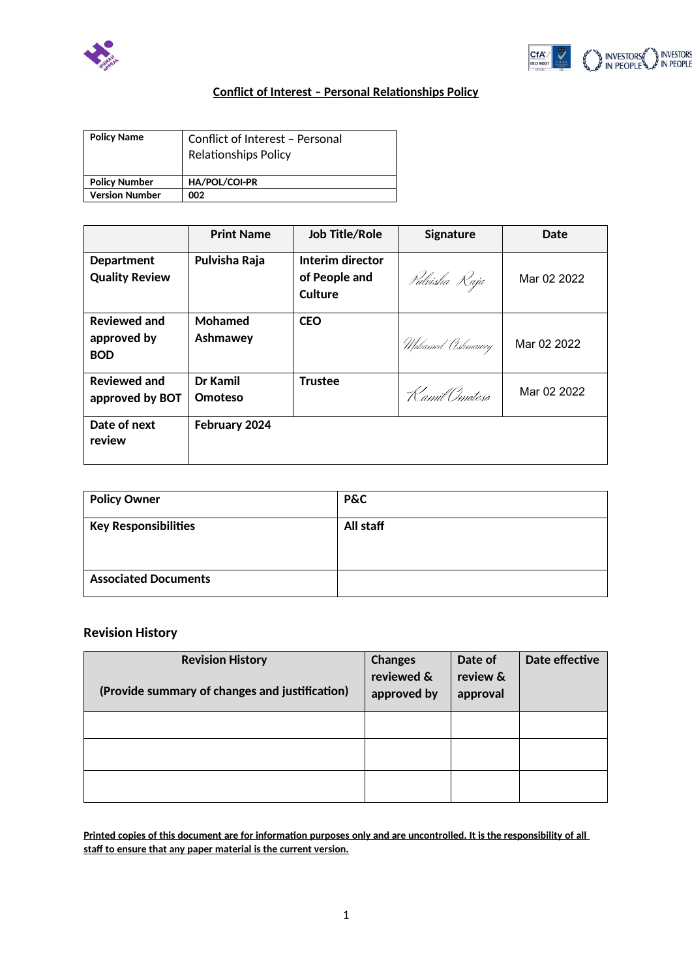



## **Conflict of Interest – Personal Relationships Policy**

| <b>Policy Name</b>    | Conflict of Interest - Personal<br><b>Relationships Policy</b> |
|-----------------------|----------------------------------------------------------------|
| <b>Policy Number</b>  | HA/POL/COI-PR                                                  |
| <b>Version Number</b> | 002                                                            |

|                                                  | <b>Print Name</b>   | <b>Job Title/Role</b>                        | Signature        | Date        |
|--------------------------------------------------|---------------------|----------------------------------------------|------------------|-------------|
| <b>Department</b><br><b>Quality Review</b>       | Pulvisha Raja       | Interim director<br>of People and<br>Culture | Pulvisha Raja    | Mar 02 2022 |
| <b>Reviewed and</b><br>approved by<br><b>BOD</b> | Mohamed<br>Ashmawey | <b>CEO</b>                                   | Mohamed Ashmawey | Mar 02 2022 |
| <b>Reviewed and</b><br>approved by BOT           | Dr Kamil<br>Omoteso | <b>Trustee</b>                               | Kamil Omoteso    | Mar 02 2022 |
| Date of next<br>review                           | February 2024       |                                              |                  |             |

| <b>Policy Owner</b>         | <b>P&amp;C</b> |
|-----------------------------|----------------|
| <b>Key Responsibilities</b> | All staff      |
| <b>Associated Documents</b> |                |

## **Revision History**

| <b>Revision History</b><br>(Provide summary of changes and justification) | <b>Changes</b><br>reviewed &<br>approved by | Date of<br>review &<br>approval | Date effective |
|---------------------------------------------------------------------------|---------------------------------------------|---------------------------------|----------------|
|                                                                           |                                             |                                 |                |
|                                                                           |                                             |                                 |                |
|                                                                           |                                             |                                 |                |

**Printed copies of this document are for information purposes only and are uncontrolled. It is the responsibility of all staff to ensure that any paper material is the current version.**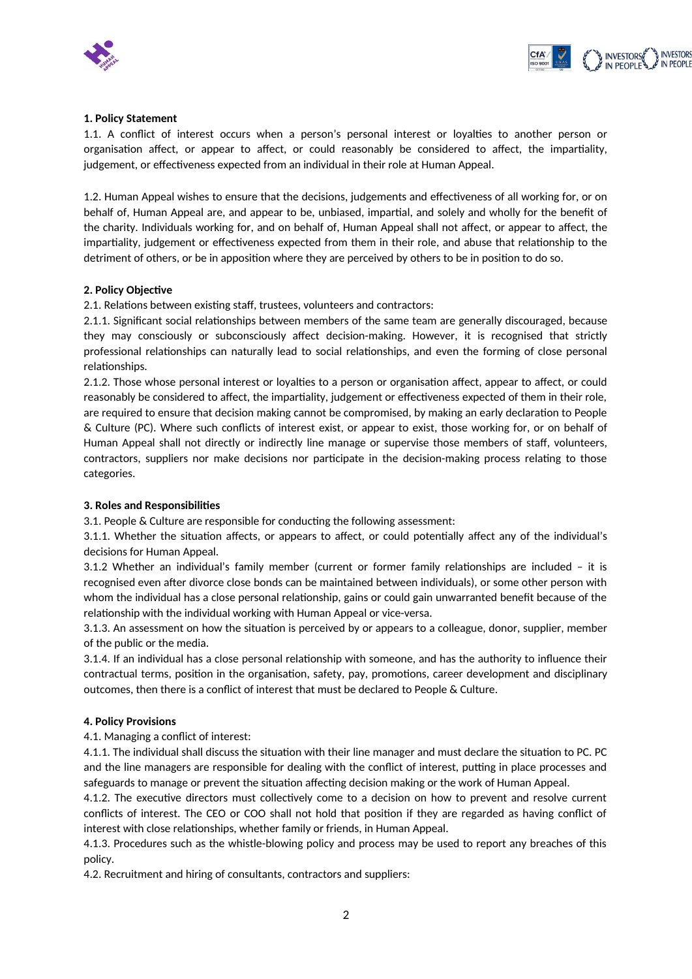



#### **1. Policy Statement**

1.1. A conflict of interest occurs when a person's personal interest or loyalties to another person or organisation affect, or appear to affect, or could reasonably be considered to affect, the impartiality, judgement, or effectiveness expected from an individual in their role at Human Appeal.

1.2. Human Appeal wishes to ensure that the decisions, judgements and effectiveness of all working for, or on behalf of, Human Appeal are, and appear to be, unbiased, impartial, and solely and wholly for the benefit of the charity. Individuals working for, and on behalf of, Human Appeal shall not affect, or appear to affect, the impartiality, judgement or effectiveness expected from them in their role, and abuse that relationship to the detriment of others, or be in apposition where they are perceived by others to be in position to do so.

#### **2. Policy Objective**

2.1. Relations between existing staff, trustees, volunteers and contractors:

2.1.1. Significant social relationships between members of the same team are generally discouraged, because they may consciously or subconsciously affect decision-making. However, it is recognised that strictly professional relationships can naturally lead to social relationships, and even the forming of close personal relationships.

2.1.2. Those whose personal interest or loyalties to a person or organisation affect, appear to affect, or could reasonably be considered to affect, the impartiality, judgement or effectiveness expected of them in their role, are required to ensure that decision making cannot be compromised, by making an early declaration to People & Culture (PC). Where such conflicts of interest exist, or appear to exist, those working for, or on behalf of Human Appeal shall not directly or indirectly line manage or supervise those members of staff, volunteers, contractors, suppliers nor make decisions nor participate in the decision-making process relating to those categories.

#### **3. Roles and Responsibilities**

3.1. People & Culture are responsible for conducting the following assessment:

3.1.1. Whether the situation affects, or appears to affect, or could potentially affect any of the individual's decisions for Human Appeal.

3.1.2 Whether an individual's family member (current or former family relationships are included – it is recognised even after divorce close bonds can be maintained between individuals), or some other person with whom the individual has a close personal relationship, gains or could gain unwarranted benefit because of the relationship with the individual working with Human Appeal or vice-versa.

3.1.3. An assessment on how the situation is perceived by or appears to a colleague, donor, supplier, member of the public or the media.

3.1.4. If an individual has a close personal relationship with someone, and has the authority to influence their contractual terms, position in the organisation, safety, pay, promotions, career development and disciplinary outcomes, then there is a conflict of interest that must be declared to People & Culture.

#### **4. Policy Provisions**

4.1. Managing a conflict of interest:

4.1.1. The individual shall discuss the situation with their line manager and must declare the situation to PC. PC and the line managers are responsible for dealing with the conflict of interest, putting in place processes and safeguards to manage or prevent the situation affecting decision making or the work of Human Appeal.

4.1.2. The executive directors must collectively come to a decision on how to prevent and resolve current conflicts of interest. The CEO or COO shall not hold that position if they are regarded as having conflict of interest with close relationships, whether family or friends, in Human Appeal.

4.1.3. Procedures such as the whistle-blowing policy and process may be used to report any breaches of this policy.

4.2. Recruitment and hiring of consultants, contractors and suppliers: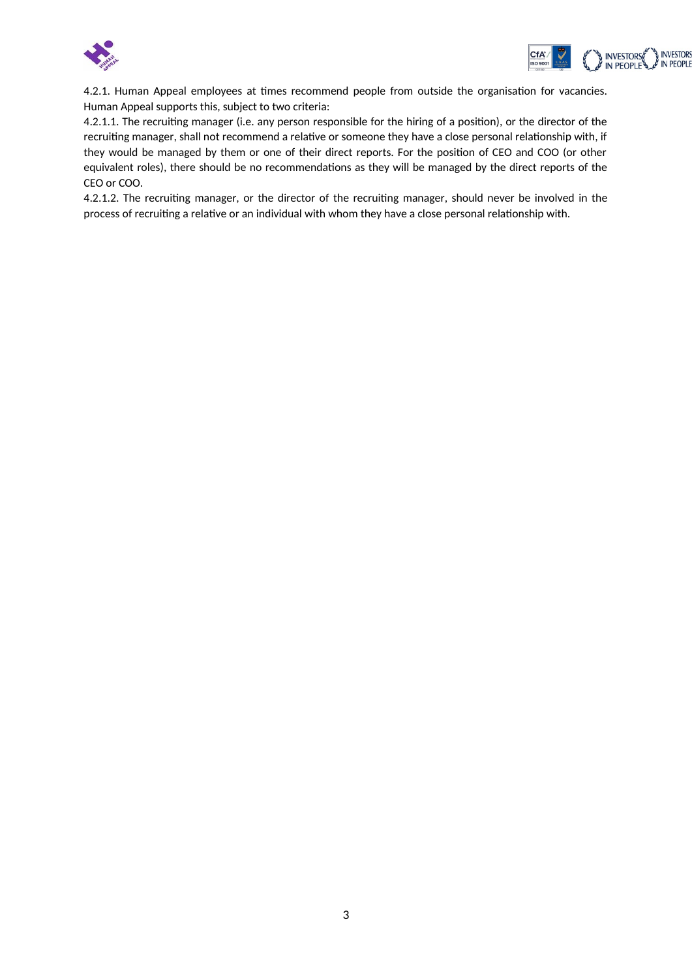



4.2.1. Human Appeal employees at times recommend people from outside the organisation for vacancies. Human Appeal supports this, subject to two criteria:

4.2.1.1. The recruiting manager (i.e. any person responsible for the hiring of a position), or the director of the recruiting manager, shall not recommend a relative or someone they have a close personal relationship with, if they would be managed by them or one of their direct reports. For the position of CEO and COO (or other equivalent roles), there should be no recommendations as they will be managed by the direct reports of the CEO or COO.

4.2.1.2. The recruiting manager, or the director of the recruiting manager, should never be involved in the process of recruiting a relative or an individual with whom they have a close personal relationship with.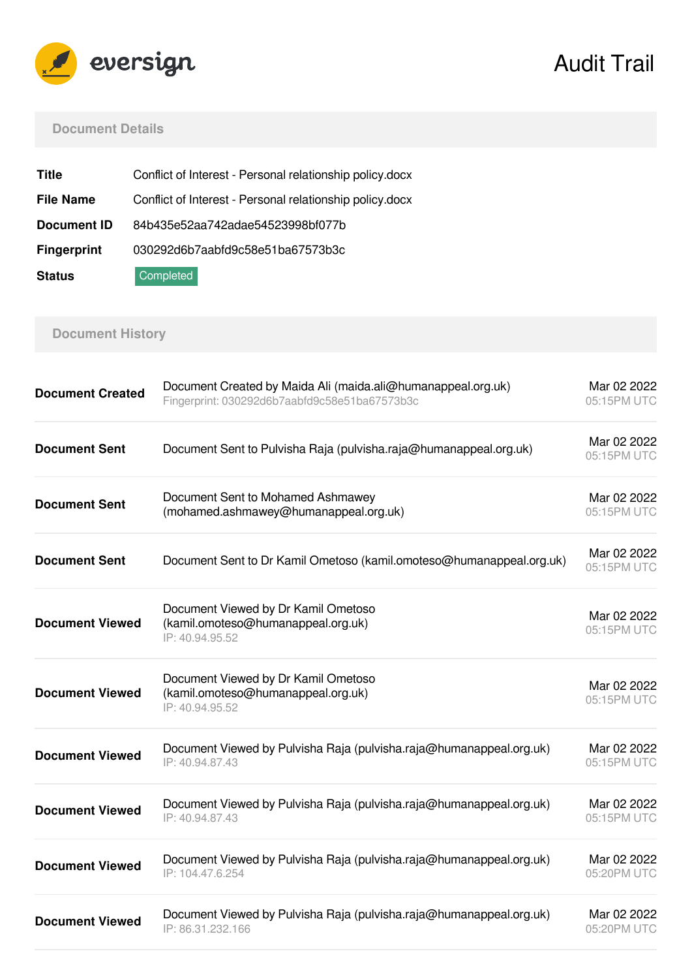

Audit Trail

### **Document Details**

| Title              | Conflict of Interest - Personal relationship policy.docx |
|--------------------|----------------------------------------------------------|
| <b>File Name</b>   | Conflict of Interest - Personal relationship policy.docx |
| Document ID        | 84b435e52aa742adae54523998bf077b                         |
| <b>Fingerprint</b> | 030292d6b7aabfd9c58e51ba67573b3c                         |
| <b>Status</b>      | Completed                                                |

# **Document History**

| <b>Document Created</b> | Document Created by Maida Ali (maida.ali@humanappeal.org.uk)<br>Fingerprint: 030292d6b7aabfd9c58e51ba67573b3c | Mar 02 2022<br>05:15PM UTC |
|-------------------------|---------------------------------------------------------------------------------------------------------------|----------------------------|
| <b>Document Sent</b>    | Document Sent to Pulvisha Raja (pulvisha.raja@humanappeal.org.uk)                                             | Mar 02 2022<br>05:15PM UTC |
| <b>Document Sent</b>    | Document Sent to Mohamed Ashmawey<br>(mohamed.ashmawey@humanappeal.org.uk)                                    | Mar 02 2022<br>05:15PM UTC |
| <b>Document Sent</b>    | Document Sent to Dr Kamil Ometoso (kamil.omoteso@humanappeal.org.uk)                                          | Mar 02 2022<br>05:15PM UTC |
| <b>Document Viewed</b>  | Document Viewed by Dr Kamil Ometoso<br>(kamil.omoteso@humanappeal.org.uk)<br>IP: 40.94.95.52                  | Mar 02 2022<br>05:15PM UTC |
| <b>Document Viewed</b>  | Document Viewed by Dr Kamil Ometoso<br>(kamil.omoteso@humanappeal.org.uk)<br>IP: 40.94.95.52                  | Mar 02 2022<br>05:15PM UTC |
| <b>Document Viewed</b>  | Document Viewed by Pulvisha Raja (pulvisha.raja@humanappeal.org.uk)<br>IP: 40.94.87.43                        | Mar 02 2022<br>05:15PM UTC |
| <b>Document Viewed</b>  | Document Viewed by Pulvisha Raja (pulvisha.raja@humanappeal.org.uk)<br>IP: 40.94.87.43                        | Mar 02 2022<br>05:15PM UTC |
| <b>Document Viewed</b>  | Document Viewed by Pulvisha Raja (pulvisha.raja@humanappeal.org.uk)<br>IP: 104.47.6.254                       | Mar 02 2022<br>05:20PM UTC |
| <b>Document Viewed</b>  | Document Viewed by Pulvisha Raja (pulvisha.raja@humanappeal.org.uk)<br>IP: 86.31.232.166                      | Mar 02 2022<br>05:20PM UTC |